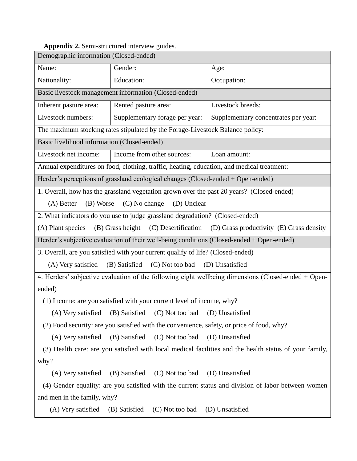|  |  | Appendix 2. Semi-structured interview guides. |  |  |
|--|--|-----------------------------------------------|--|--|
|--|--|-----------------------------------------------|--|--|

| Demographic information (Closed-ended)                                                                 |                                                       |                                      |  |  |  |  |
|--------------------------------------------------------------------------------------------------------|-------------------------------------------------------|--------------------------------------|--|--|--|--|
| Name:                                                                                                  | Gender:                                               | Age:                                 |  |  |  |  |
| Nationality:                                                                                           | Education:                                            | Occupation:                          |  |  |  |  |
|                                                                                                        | Basic livestock management information (Closed-ended) |                                      |  |  |  |  |
| Inherent pasture area:                                                                                 | Rented pasture area:                                  | Livestock breeds:                    |  |  |  |  |
| Livestock numbers:                                                                                     | Supplementary forage per year:                        | Supplementary concentrates per year: |  |  |  |  |
| The maximum stocking rates stipulated by the Forage-Livestock Balance policy:                          |                                                       |                                      |  |  |  |  |
| Basic livelihood information (Closed-ended)                                                            |                                                       |                                      |  |  |  |  |
| Livestock net income:                                                                                  | Income from other sources:                            | Loan amount:                         |  |  |  |  |
| Annual expenditures on food, clothing, traffic, heating, education, and medical treatment:             |                                                       |                                      |  |  |  |  |
| Herder's perceptions of grassland ecological changes (Closed-ended + Open-ended)                       |                                                       |                                      |  |  |  |  |
| 1. Overall, how has the grassland vegetation grown over the past 20 years? (Closed-ended)              |                                                       |                                      |  |  |  |  |
| (C) No change<br>$(A)$ Better<br>(B) Worse<br>(D) Unclear                                              |                                                       |                                      |  |  |  |  |
| 2. What indicators do you use to judge grassland degradation? (Closed-ended)                           |                                                       |                                      |  |  |  |  |
| (A) Plant species (B) Grass height (C) Desertification (D) Grass productivity (E) Grass density        |                                                       |                                      |  |  |  |  |
| Herder's subjective evaluation of their well-being conditions (Closed-ended + Open-ended)              |                                                       |                                      |  |  |  |  |
| 3. Overall, are you satisfied with your current qualify of life? (Closed-ended)                        |                                                       |                                      |  |  |  |  |
| (A) Very satisfied<br>(B) Satisfied<br>(C) Not too bad<br>(D) Unsatisfied                              |                                                       |                                      |  |  |  |  |
| 4. Herders' subjective evaluation of the following eight wellbeing dimensions (Closed-ended + Open-    |                                                       |                                      |  |  |  |  |
| ended)                                                                                                 |                                                       |                                      |  |  |  |  |
| (1) Income: are you satisfied with your current level of income, why?                                  |                                                       |                                      |  |  |  |  |
|                                                                                                        | (A) Very satisfied (B) Satisfied (C) Not too bad      | (D) Unsatisfied                      |  |  |  |  |
| (2) Food security: are you satisfied with the convenience, safety, or price of food, why?              |                                                       |                                      |  |  |  |  |
| (A) Very satisfied                                                                                     | (B) Satisfied<br>(C) Not too bad                      | (D) Unsatisfied                      |  |  |  |  |
| (3) Health care: are you satisfied with local medical facilities and the health status of your family, |                                                       |                                      |  |  |  |  |
| why?                                                                                                   |                                                       |                                      |  |  |  |  |
| (A) Very satisfied                                                                                     | (C) Not too bad<br>(B) Satisfied                      | (D) Unsatisfied                      |  |  |  |  |
| (4) Gender equality: are you satisfied with the current status and division of labor between women     |                                                       |                                      |  |  |  |  |
| and men in the family, why?                                                                            |                                                       |                                      |  |  |  |  |
| (A) Very satisfied                                                                                     | (C) Not too bad<br>(B) Satisfied                      | (D) Unsatisfied                      |  |  |  |  |